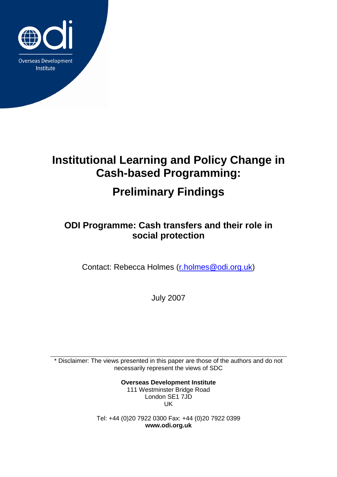

# **Institutional Learning and Policy Change in Cash-based Programming:**

# **Preliminary Findings**

## **ODI Programme: Cash transfers and their role in social protection**

Contact: Rebecca Holmes [\(r.holmes@odi.org.uk\)](mailto:r.holmes@odi.org.uk)

July 2007

\* Disclaimer: The views presented in this paper are those of the authors and do not necessarily represent the views of SDC

> **Overseas Development Institute** 111 Westminster Bridge Road London SE1 7JD UK

Tel: +44 (0)20 7922 0300 Fax: +44 (0)20 7922 0399 **www.odi.org.uk**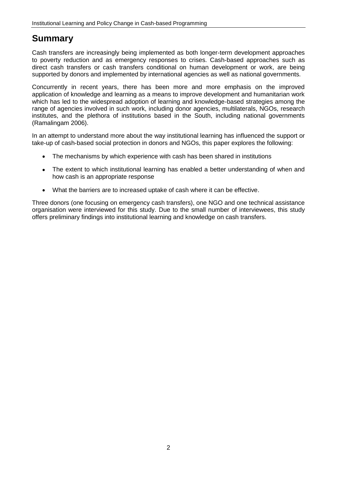### **Summary**

Cash transfers are increasingly being implemented as both longer-term development approaches to poverty reduction and as emergency responses to crises. Cash-based approaches such as direct cash transfers or cash transfers conditional on human development or work, are being supported by donors and implemented by international agencies as well as national governments.

Concurrently in recent years, there has been more and more emphasis on the improved application of knowledge and learning as a means to improve development and humanitarian work which has led to the widespread adoption of learning and knowledge-based strategies among the range of agencies involved in such work, including donor agencies, multilaterals, NGOs, research institutes, and the plethora of institutions based in the South, including national governments (Ramalingam 2006).

In an attempt to understand more about the way institutional learning has influenced the support or take-up of cash-based social protection in donors and NGOs, this paper explores the following:

- The mechanisms by which experience with cash has been shared in institutions  $\bullet$
- The extent to which institutional learning has enabled a better understanding of when and  $\bullet$ how cash is an appropriate response
- What the barriers are to increased uptake of cash where it can be effective.

Three donors (one focusing on emergency cash transfers), one NGO and one technical assistance organisation were interviewed for this study. Due to the small number of interviewees, this study offers preliminary findings into institutional learning and knowledge on cash transfers.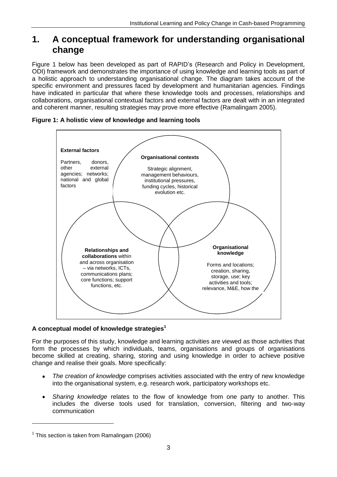### **1. A conceptual framework for understanding organisational change**

Figure 1 below has been developed as part of RAPID's (Research and Policy in Development, ODI) framework and demonstrates the importance of using knowledge and learning tools as part of a holistic approach to understanding organisational change. The diagram takes account of the specific environment and pressures faced by development and humanitarian agencies. Findings have indicated in particular that where these knowledge tools and processes, relationships and collaborations, organisational contextual factors and external factors are dealt with in an integrated and coherent manner, resulting strategies may prove more effective (Ramalingam 2005).



#### **Figure 1: A holistic view of knowledge and learning tools**

#### **A conceptual model of knowledge strategies<sup>1</sup>**

For the purposes of this study, knowledge and learning activities are viewed as those activities that form the processes by which individuals, teams, organisations and groups of organisations become skilled at creating, sharing, storing and using knowledge in order to achieve positive change and realise their goals. More specifically:

- *The creation of knowledge* comprises activities associated with the entry of new knowledge into the organisational system, e.g. research work, participatory workshops etc.
- *Sharing knowledge* relates to the flow of knowledge from one party to another. This  $\bullet$ includes the diverse tools used for translation, conversion, filtering and two-way communication

-

 $1$  This section is taken from Ramalingam (2006)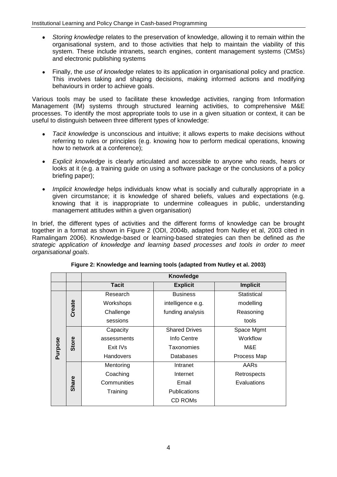- *Storing knowledge* relates to the preservation of knowledge, allowing it to remain within the organisational system, and to those activities that help to maintain the viability of this system. These include intranets, search engines, content management systems (CMSs) and electronic publishing systems
- Finally, the *use of knowledge* relates to its application in organisational policy and practice. This involves taking and shaping decisions, making informed actions and modifying behaviours in order to achieve goals.

Various tools may be used to facilitate these knowledge activities, ranging from Information Management (IM) systems through structured learning activities, to comprehensive M&E processes. To identify the most appropriate tools to use in a given situation or context, it can be useful to distinguish between three different types of knowledge:

- *Tacit knowledge* is unconscious and intuitive; it allows experts to make decisions without  $\bullet$ referring to rules or principles (e.g. knowing how to perform medical operations, knowing how to network at a conference);
- *Explicit knowledge* is clearly articulated and accessible to anyone who reads, hears or  $\bullet$ looks at it (e.g. a training guide on using a software package or the conclusions of a policy briefing paper);
- *Implicit knowledge* helps individuals know what is socially and culturally appropriate in a  $\bullet$ given circumstance; it is knowledge of shared beliefs, values and expectations (e.g. knowing that it is inappropriate to undermine colleagues in public, understanding management attitudes within a given organisation)

In brief, the different types of activities and the different forms of knowledge can be brought together in a format as shown in Figure 2 (ODI, 2004b, adapted from Nutley et al, 2003 cited in Ramalingam 2006). Knowledge-based or learning-based strategies can then be defined as *the strategic application of knowledge and learning based processes and tools in order to meet organisational goals*.

|         |              | Knowledge        |                      |                 |
|---------|--------------|------------------|----------------------|-----------------|
|         |              | <b>Tacit</b>     | <b>Explicit</b>      | <b>Implicit</b> |
| Purpose | Create       | Research         | <b>Business</b>      | Statistical     |
|         |              | Workshops        | intelligence e.g.    | modelling       |
|         |              | Challenge        | funding analysis     | Reasoning       |
|         |              | sessions         |                      | tools           |
|         | Store        | Capacity         | <b>Shared Drives</b> | Space Mgmt      |
|         |              | assessments      | Info Centre          | Workflow        |
|         |              | Exit IVs         | Taxonomies           | M&E             |
|         |              | <b>Handovers</b> | Databases            | Process Map     |
|         | <b>Share</b> | Mentoring        | Intranet             | AARs            |
|         |              | Coaching         | Internet             | Retrospects     |
|         |              | Communities      | Email                | Evaluations     |
|         |              | Training         | <b>Publications</b>  |                 |
|         |              |                  | CD ROMs              |                 |

**Figure 2: Knowledge and learning tools (adapted from Nutley et al. 2003)**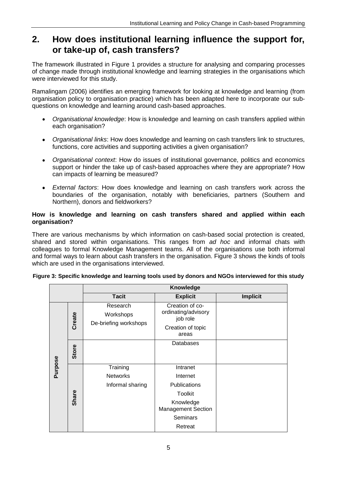### **2. How does institutional learning influence the support for, or take-up of, cash transfers?**

The framework illustrated in Figure 1 provides a structure for analysing and comparing processes of change made through institutional knowledge and learning strategies in the organisations which were interviewed for this study.

Ramalingam (2006) identifies an emerging framework for looking at knowledge and learning (from organisation policy to organisation practice) which has been adapted here to incorporate our subquestions on knowledge and learning around cash-based approaches.

- *Organisational knowledge*: How is knowledge and learning on cash transfers applied within  $\bullet$ each organisation?
- *Organisational links*: How does knowledge and learning on cash transfers link to structures, functions, core activities and supporting activities a given organisation?
- *Organisational context*: How do issues of institutional governance, politics and economics support or hinder the take up of cash-based approaches where they are appropriate? How can impacts of learning be measured?
- *External factors*: How does knowledge and learning on cash transfers work across the boundaries of the organisation, notably with beneficiaries, partners (Southern and Northern), donors and fieldworkers?

#### **How is knowledge and learning on cash transfers shared and applied within each organisation?**

There are various mechanisms by which information on cash-based social protection is created, shared and stored within organisations. This ranges from *ad hoc* and informal chats with colleagues to formal Knowledge Management teams. All of the organisations use both informal and formal ways to learn about cash transfers in the organisation. Figure 3 shows the kinds of tools which are used in the organisations interviewed.

|         |        | <b>Knowledge</b>                                |                                                                                                                                |                 |
|---------|--------|-------------------------------------------------|--------------------------------------------------------------------------------------------------------------------------------|-----------------|
|         |        | <b>Tacit</b>                                    | <b>Explicit</b>                                                                                                                | <b>Implicit</b> |
|         | Create | Research<br>Workshops<br>De-briefing workshops  | Creation of co-<br>ordinating/advisory<br>job role<br>Creation of topic<br>areas                                               |                 |
|         | Store  |                                                 | Databases                                                                                                                      |                 |
| Purpose | Share  | Training<br><b>Networks</b><br>Informal sharing | Intranet<br>Internet<br>Publications<br><b>Toolkit</b><br>Knowledge<br><b>Management Section</b><br><b>Seminars</b><br>Retreat |                 |

### **Figure 3: Specific knowledge and learning tools used by donors and NGOs interviewed for this study**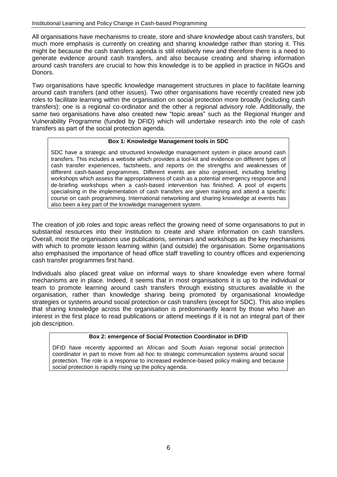All organisations have mechanisms to create, store and share knowledge about cash transfers, but much more emphasis is currently on creating and sharing knowledge rather than storing it. This might be because the cash transfers agenda is still relatively new and therefore there is a need to generate evidence around cash transfers, and also because creating and sharing information around cash transfers are crucial to how this knowledge is to be applied in practice in NGOs and Donors.

Two organisations have specific knowledge management structures in place to facilitate learning around cash transfers (and other issues). Two other organisations have recently created new job roles to facilitate learning within the organisation on social protection more broadly (including cash transfers): one is a regional co-ordinator and the other a regional advisory role. Additionally, the same two organisations have also created new "topic areas" such as the Regional Hunger and Vulnerability Programme (funded by DFID) which will undertake research into the role of cash transfers as part of the social protection agenda.

#### **Box 1: Knowledge Management tools in SDC**

SDC have a strategic and structured knowledge management system in place around cash transfers. This includes a website which provides a tool-kit and evidence on different types of cash transfer experiences, factsheets, and reports on the strengths and weaknesses of different cash-based programmes. Different events are also organised, including briefing workshops which assess the appropriateness of cash as a potential emergency response and de-briefing workshops when a cash-based intervention has finished. A pool of experts specialising in the implementation of cash transfers are given training and attend a specific course on cash programming. International networking and sharing knowledge at events has also been a key part of the knowledge management system.

The creation of job roles and topic areas reflect the growing need of some organisations to put in substantial resources into their institution to create and share information on cash transfers. Overall, most the organisations use publications, seminars and workshops as the key mechanisms with which to promote lesson learning within (and outside) the organisation. Some organisations also emphasised the importance of head office staff travelling to country offices and experiencing cash transfer programmes first hand.

Individuals also placed great value on informal ways to share knowledge even where formal mechanisms are in place. Indeed, it seems that in most organisations it is up to the individual or team to promote learning around cash transfers through existing structures available in the organisation, rather than knowledge sharing being promoted by organisational knowledge strategies or systems around social protection or cash transfers (except for SDC). This also implies that sharing knowledge across the organisation is predominantly learnt by those who have an interest in the first place to read publications or attend meetings if it is not an integral part of their job description.

#### **Box 2: emergence of Social Protection Coordinator in DFID**

DFID have recently appointed an African and South Asian regional social protection coordinator in part to move from ad hoc to strategic communication systems around social protection. The role is a response to increased evidence-based policy making and because social protection is rapidly rising up the policy agenda.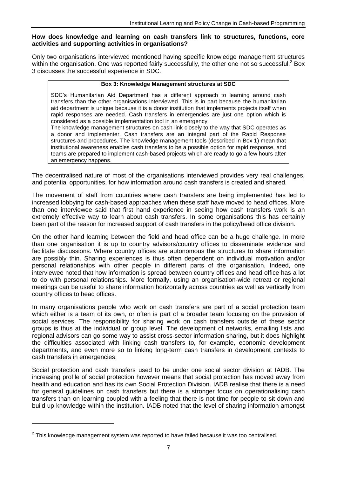#### **How does knowledge and learning on cash transfers link to structures, functions, core activities and supporting activities in organisations?**

Only two organisations interviewed mentioned having specific knowledge management structures within the organisation. One was reported fairly successfully, the other one not so successful.<sup>2</sup> Box 3 discusses the successful experience in SDC.

#### **Box 3: Knowledge Management structures at SDC**

SDC's Humanitarian Aid Department has a different approach to learning around cash transfers than the other organisations interviewed. This is in part because the humanitarian aid department is unique because it is a donor institution that implements projects itself when rapid responses are needed. Cash transfers in emergencies are just one option which is considered as a possible implementation tool in an emergency.

The knowledge management structures on cash link closely to the way that SDC operates as a donor and implementer. Cash transfers are an integral part of the Rapid Response structures and procedures. The knowledge management tools (described in Box 1) mean that institutional awareness enables cash transfers to be a possible option for rapid response, and teams are prepared to implement cash-based projects which are ready to go a few hours after an emergency happens.

The decentralised nature of most of the organisations interviewed provides very real challenges, and potential opportunities, for how information around cash transfers is created and shared.

The movement of staff from countries where cash transfers are being implemented has led to increased lobbying for cash-based approaches when these staff have moved to head offices. More than one interviewee said that first hand experience in seeing how cash transfers work is an extremely effective way to learn about cash transfers. In some organisations this has certainly been part of the reason for increased support of cash transfers in the policy/head office division.

On the other hand learning between the field and head office can be a huge challenge. In more than one organisation it is up to country advisors/country offices to disseminate evidence and facilitate discussions. Where country offices are autonomous the structures to share information are possibly thin. Sharing experiences is thus often dependent on individual motivation and/or personal relationships with other people in different parts of the organisation. Indeed, one interviewee noted that how information is spread between country offices and head office has a lot to do with personal relationships. More formally, using an organisation-wide retreat or regional meetings can be useful to share information horizontally across countries as well as vertically from country offices to head offices.

In many organisations people who work on cash transfers are part of a social protection team which either is a team of its own, or often is part of a broader team focusing on the provision of social services. The responsibility for sharing work on cash transfers outside of these sector groups is thus at the individual or group level. The development of networks, emailing lists and regional advisors can go some way to assist cross-sector information sharing, but it does highlight the difficulties associated with linking cash transfers to, for example, economic development departments, and even more so to linking long-term cash transfers in development contexts to cash transfers in emergencies.

Social protection and cash transfers used to be under one social sector division at IADB. The increasing profile of social protection however means that social protection has moved away from health and education and has its own Social Protection Division. IADB realise that there is a need for general guidelines on cash transfers but there is a stronger focus on operationalising cash transfers than on learning coupled with a feeling that there is not time for people to sit down and build up knowledge within the institution. IADB noted that the level of sharing information amongst

-

 $2$  This knowledge management system was reported to have failed because it was too centralised.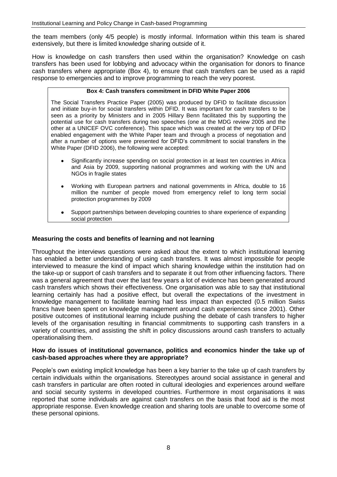the team members (only 4/5 people) is mostly informal. Information within this team is shared extensively, but there is limited knowledge sharing outside of it.

How is knowledge on cash transfers then used within the organisation? Knowledge on cash transfers has been used for lobbying and advocacy within the organisation for donors to finance cash transfers where appropriate (Box 4), to ensure that cash transfers can be used as a rapid response to emergencies and to improve programming to reach the very poorest.

#### **Box 4: Cash transfers commitment in DFID White Paper 2006**

The Social Transfers Practice Paper (2005) was produced by DFID to facilitate discussion and initiate buy-in for social transfers within DFID. It was important for cash transfers to be seen as a priority by Ministers and in 2005 Hillary Benn facilitated this by supporting the potential use for cash transfers during two speeches (one at the MDG review 2005 and the other at a UNICEF OVC conference). This space which was created at the very top of DFID enabled engagement with the White Paper team and through a process of negotiation and after a number of options were presented for DFID's commitment to social transfers in the White Paper (DFID 2006), the following were accepted:

- Significantly increase spending on social protection in at least ten countries in Africa and Asia by 2009, supporting national programmes and working with the UN and NGOs in fragile states
- Working with European partners and national governments in Africa, double to 16 million the number of people moved from emergency relief to long term social protection programmes by 2009
- Support partnerships between developing countries to share experience of expanding social protection

#### **Measuring the costs and benefits of learning and not learning**

Throughout the interviews questions were asked about the extent to which institutional learning has enabled a better understanding of using cash transfers. It was almost impossible for people interviewed to measure the kind of impact which sharing knowledge within the institution had on the take-up or support of cash transfers and to separate it out from other influencing factors. There was a general agreement that over the last few years a lot of evidence has been generated around cash transfers which shows their effectiveness. One organisation was able to say that institutional learning certainly has had a positive effect, but overall the expectations of the investment in knowledge management to facilitate learning had less impact than expected (0.5 million Swiss francs have been spent on knowledge management around cash experiences since 2001). Other positive outcomes of institutional learning include pushing the debate of cash transfers to higher levels of the organisation resulting in financial commitments to supporting cash transfers in a variety of countries, and assisting the shift in policy discussions around cash transfers to actually operationalising them.

#### **How do issues of institutional governance, politics and economics hinder the take up of cash-based approaches where they are appropriate?**

People's own existing implicit knowledge has been a key barrier to the take up of cash transfers by certain individuals within the organisations. Stereotypes around social assistance in general and cash transfers in particular are often rooted in cultural ideologies and experiences around welfare and social security systems in developed countries. Furthermore in most organisations it was reported that some individuals are against cash transfers on the basis that food aid is the most appropriate response. Even knowledge creation and sharing tools are unable to overcome some of these personal opinions.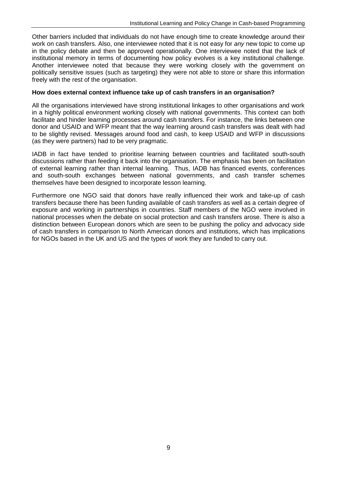Other barriers included that individuals do not have enough time to create knowledge around their work on cash transfers. Also, one interviewee noted that it is not easy for *any* new topic to come up in the policy debate and then be approved operationally. One interviewee noted that the lack of institutional memory in terms of documenting how policy evolves is a key institutional challenge. Another interviewee noted that because they were working closely with the government on politically sensitive issues (such as targeting) they were not able to store or share this information freely with the rest of the organisation.

#### **How does external context influence take up of cash transfers in an organisation?**

All the organisations interviewed have strong institutional linkages to other organisations and work in a highly political environment working closely with national governments. This context can both facilitate and hinder learning processes around cash transfers. For instance, the links between one donor and USAID and WFP meant that the way learning around cash transfers was dealt with had to be slightly revised. Messages around food and cash, to keep USAID and WFP in discussions (as they were partners) had to be very pragmatic.

IADB in fact have tended to prioritise learning between countries and facilitated south-south discussions rather than feeding it back into the organisation. The emphasis has been on facilitation of external learning rather than internal learning. Thus, IADB has financed events, conferences and south-south exchanges between national governments, and cash transfer schemes themselves have been designed to incorporate lesson learning.

Furthermore one NGO said that donors have really influenced their work and take-up of cash transfers because there has been funding available of cash transfers as well as a certain degree of exposure and working in partnerships in countries. Staff members of the NGO were involved in national processes when the debate on social protection and cash transfers arose. There is also a distinction between European donors which are seen to be pushing the policy and advocacy side of cash transfers in comparison to North American donors and institutions, which has implications for NGOs based in the UK and US and the types of work they are funded to carry out.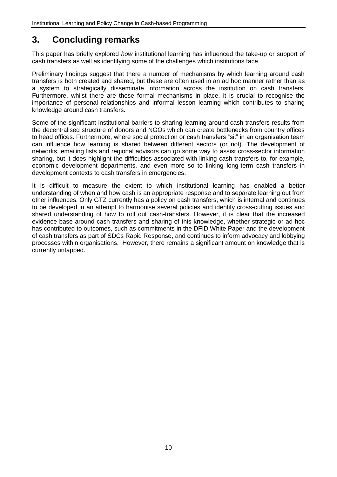## **3. Concluding remarks**

This paper has briefly explored *how* institutional learning has influenced the take-up or support of cash transfers as well as identifying some of the challenges which institutions face.

Preliminary findings suggest that there a number of mechanisms by which learning around cash transfers is both created and shared, but these are often used in an ad hoc manner rather than as a system to strategically disseminate information across the institution on cash transfers. Furthermore, whilst there are these formal mechanisms in place, it is crucial to recognise the importance of personal relationships and informal lesson learning which contributes to sharing knowledge around cash transfers.

Some of the significant institutional barriers to sharing learning around cash transfers results from the decentralised structure of donors and NGOs which can create bottlenecks from country offices to head offices. Furthermore, where social protection or cash transfers "sit" in an organisation team can influence how learning is shared between different sectors (or not). The development of networks, emailing lists and regional advisors can go some way to assist cross-sector information sharing, but it does highlight the difficulties associated with linking cash transfers to, for example, economic development departments, and even more so to linking long-term cash transfers in development contexts to cash transfers in emergencies.

It is difficult to measure the extent to which institutional learning has enabled a better understanding of when and how cash is an appropriate response and to separate learning out from other influences. Only GTZ currently has a policy on cash transfers, which is internal and continues to be developed in an attempt to harmonise several policies and identify cross-cutting issues and shared understanding of how to roll out cash-transfers. However, it is clear that the increased evidence base around cash transfers and sharing of this knowledge, whether strategic or ad hoc has contributed to outcomes, such as commitments in the DFID White Paper and the development of cash transfers as part of SDCs Rapid Response, and continues to inform advocacy and lobbying processes within organisations. However, there remains a significant amount on knowledge that is currently untapped.